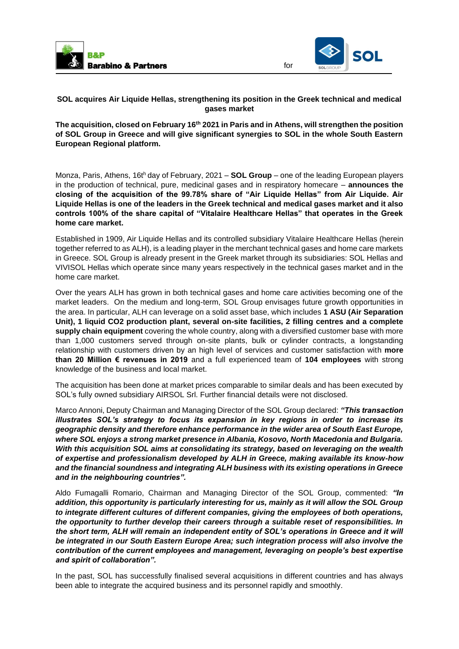

for

## **SOL acquires Air Liquide Hellas, strengthening its position in the Greek technical and medical gases market**

**The acquisition, closed on February 16th 2021 in Paris and in Athens, will strengthen the position of SOL Group in Greece and will give significant synergies to SOL in the whole South Eastern European Regional platform.** 

Monza, Paris, Athens, 16th day of February, 2021 – **SOL Group** – one of the leading European players in the production of technical, pure, medicinal gases and in respiratory homecare – **announces the closing of the acquisition of the 99.78% share of "Air Liquide Hellas" from Air Liquide. Air Liquide Hellas is one of the leaders in the Greek technical and medical gases market and it also controls 100% of the share capital of "Vitalaire Healthcare Hellas" that operates in the Greek home care market.** 

Established in 1909, Air Liquide Hellas and its controlled subsidiary Vitalaire Healthcare Hellas (herein together referred to as ALH), is a leading player in the merchant technical gases and home care markets in Greece. SOL Group is already present in the Greek market through its subsidiaries: SOL Hellas and VIVISOL Hellas which operate since many years respectively in the technical gases market and in the home care market.

Over the years ALH has grown in both technical gases and home care activities becoming one of the market leaders. On the medium and long-term, SOL Group envisages future growth opportunities in the area. In particular, ALH can leverage on a solid asset base, which includes **1 ASU (Air Separation Unit), 1 liquid CO2 production plant, several on-site facilities, 2 filling centres and a complete supply chain equipment** covering the whole country, along with a diversified customer base with more than 1,000 customers served through on-site plants, bulk or cylinder contracts, a longstanding relationship with customers driven by an high level of services and customer satisfaction with **more than 20 Million € revenues in 2019** and a full experienced team of **104 employees** with strong knowledge of the business and local market.

The acquisition has been done at market prices comparable to similar deals and has been executed by SOL's fully owned subsidiary AIRSOL Srl. Further financial details were not disclosed.

Marco Annoni, Deputy Chairman and Managing Director of the SOL Group declared: *"This transaction illustrates SOL's strategy to focus its expansion in key regions in order to increase its geographic density and therefore enhance performance in the wider area of South East Europe, where SOL enjoys a strong market presence in Albania, Kosovo, North Macedonia and Bulgaria. With this acquisition SOL aims at consolidating its strategy, based on leveraging on the wealth of expertise and professionalism developed by ALH in Greece, making available its know-how and the financial soundness and integrating ALH business with its existing operations in Greece and in the neighbouring countries".* 

Aldo Fumagalli Romario, Chairman and Managing Director of the SOL Group, commented: *"In addition, this opportunity is particularly interesting for us, mainly as it will allow the SOL Group to integrate different cultures of different companies, giving the employees of both operations, the opportunity to further develop their careers through a suitable reset of responsibilities. In the short term, ALH will remain an independent entity of SOL's operations in Greece and it will be integrated in our South Eastern Europe Area; such integration process will also involve the contribution of the current employees and management, leveraging on people's best expertise and spirit of collaboration".* 

In the past, SOL has successfully finalised several acquisitions in different countries and has always been able to integrate the acquired business and its personnel rapidly and smoothly.